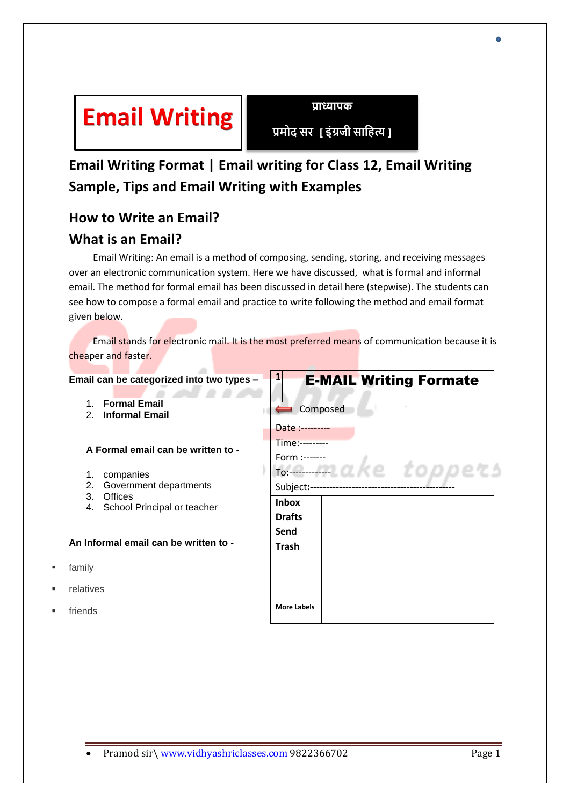

**प्रमोद सर [ इंग्रजी साहित्य ]**

# **Email Writing Format | Email writing for Class 12, Email Writing Sample, Tips and Email Writing with Examples**

# **How to Write an Email?**

## **What is an Email?**

 Email Writing: An email is a method of composing, sending, storing, and receiving messages over an electronic communication system. Here we have discussed, what is formal and informal email. The method for formal email has been discussed in detail here (stepwise). The students can see how to compose a formal email and practice to write following the method and email format given below.

 Email stands for electronic mail. It is the most preferred means of communication because it is cheaper and faster.

#### **Email can be categorized into two types – 1** E-MAIL Writing Formate . . . 1. **Formal Email** composed 2. **Informal Email** Date :--------- Time:--------- **A Formal email can be written to -** Form :------ zke topper To:------------- 1. companies 2. Government departments Subject**:---------------------------------------------** 3. Offices **Inbox**  4. School Principal or teacher **Drafts Send An Informal email can be written to - Trash** family relatives **More Labels** friends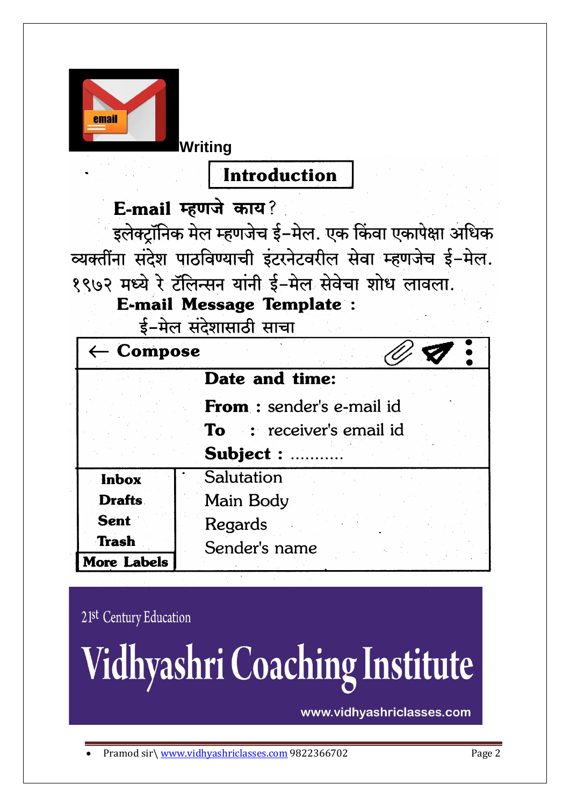

**Writing**

**Introduction** 

E-mail म्हणजे काय?

इलेक्ट्रॉनिक मेल म्हणजेच ई-मेल. एक किंवा एकापेक्षा अधिक व्यक्तींना संदेश पाठविण्याची इंटरनेटवरील सेवा म्हणजेच ई-मेल. १९७२ मध्ये रे टॅलिन्सन यांनी ई-मेल सेवेचा शोध लावला.

E-mail Message Template :

ई-मेल संदेशासाठी साचा

| $\leftarrow$ Compose |                                 |
|----------------------|---------------------------------|
|                      | Date and time:                  |
|                      | From: sender's e-mail id        |
|                      | <b>To</b> : receiver's email id |
|                      | Subject :                       |
| <b>Inbox</b>         | Salutation                      |
| <b>Drafts</b>        | Main Body                       |
| <b>Sent</b>          | Regards                         |
| <b>Trash</b>         | Sender's name                   |
| <b>More Labels</b>   |                                 |

21st Century Education

Vidhyashri Coaching Institute

www.vidhyashriclasses.com

Pramod sir\ [www.vidhyashriclasses.com](http://www.vidhyashriclasses.com/) 9822366702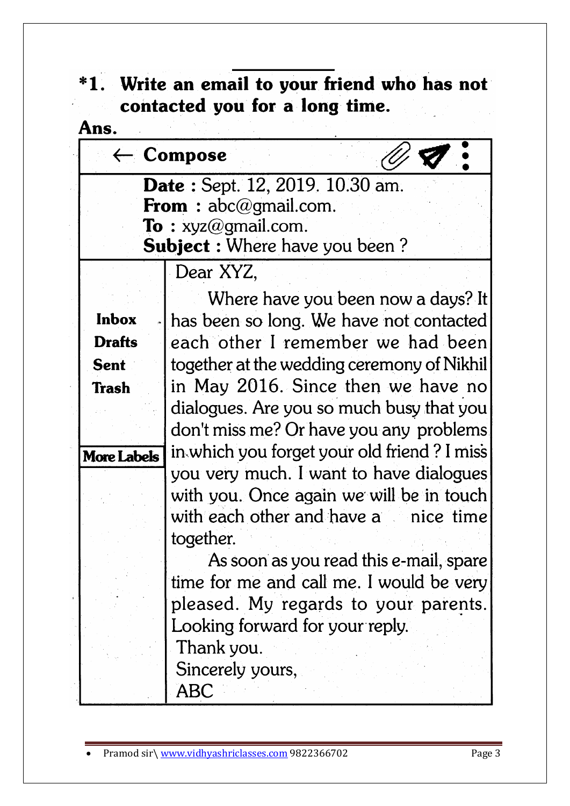### \*1. Write an email to your friend who has not contacted you for a long time.  $\label{eq:2} \frac{1}{\sqrt{2}}\int_{\mathbb{R}^3}\left|\frac{d\mathbf{r}}{d\mathbf{r}}\right|^2\,d\mathbf{r}^2\,d\mathbf{r}^2\,d\mathbf{r}^2\,d\mathbf{r}^2\,d\mathbf{r}^2\,d\mathbf{r}^2\,d\mathbf{r}^2\,d\mathbf{r}^2\,d\mathbf{r}^2\,d\mathbf{r}^2\,d\mathbf{r}^2\,d\mathbf{r}^2\,d\mathbf{r}^2\,d\mathbf{r}^2\,d\mathbf{r}^2\,d$  $\mathcal{L} = \mathcal{L}$

| Ans.               |                                             |
|--------------------|---------------------------------------------|
|                    | $\leftarrow$ Compose                        |
|                    | Date: Sept. 12, 2019. 10.30 am.             |
|                    | <b>From</b> : $abc@gmail.com$ .             |
|                    | <b>To</b> : $xyz@gmail.com$ .               |
|                    | <b>Subject :</b> Where have you been?       |
|                    | Dear XYZ,                                   |
|                    | Where have you been now a days? It          |
| <b>Inbox</b>       | has been so long. We have not contacted     |
| <b>Drafts</b>      | each other I remember we had been           |
| <b>Sent</b>        | together at the wedding ceremony of Nikhil  |
| <b>Trash</b>       | in May 2016. Since then we have no          |
|                    | dialogues. Are you so much busy that you    |
|                    | don't miss me? Or have you any problems     |
| <b>More Labels</b> | in which you forget your old friend? I miss |
|                    | you very much. I want to have dialogues     |
|                    | with you. Once again we will be in touch    |
|                    | with each other and have a nice time        |
|                    | together.                                   |
|                    | As soon as you read this e-mail, spare      |
|                    | time for me and call me. I would be very    |
|                    | pleased. My regards to your parents.        |
|                    | Looking forward for your reply.             |
|                    | Thank you.                                  |
|                    | Sincerely yours,                            |
|                    | ABC                                         |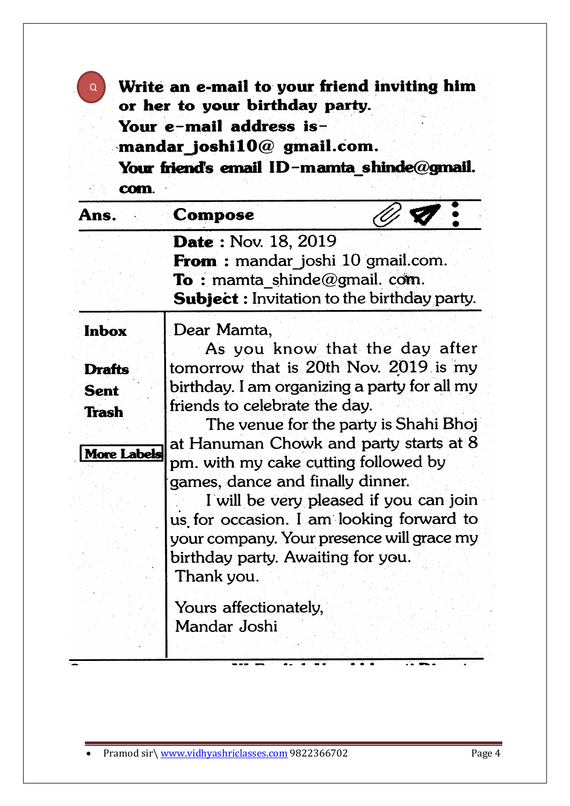| <b>Q</b> Write an e-mail to your friend inviting him |
|------------------------------------------------------|
| or her to your birthday party.                       |
| Your e-mail address is-                              |
| mandar joshi $10@$ gmail.com.                        |
| Your friend's email ID-mamta shinde@gmail.           |
| com.                                                 |
|                                                      |

| Ans.                                                                               | Compose                                                                                                                                                                                                                                                                                                                                                                                                 |                                                                                                                   |
|------------------------------------------------------------------------------------|---------------------------------------------------------------------------------------------------------------------------------------------------------------------------------------------------------------------------------------------------------------------------------------------------------------------------------------------------------------------------------------------------------|-------------------------------------------------------------------------------------------------------------------|
|                                                                                    | <b>Date: Nov. 18, 2019</b><br><b>From</b> : mandar joshi 10 gmail.com.<br><b>To</b> : mamta shinde@gmail.com.<br><b>Subject:</b> Invitation to the birthday party.                                                                                                                                                                                                                                      |                                                                                                                   |
| <b>Inbox</b><br><b>Drafts</b><br><b>Sent</b><br><b>Trash</b><br><b>More Labels</b> | Dear Mamta,<br>tomorrow that is 20th Nov. 2019 is my<br>birthday. I am organizing a party for all my<br>friends to celebrate the day.<br>at Hanuman Chowk and party starts at 8<br>pm. with my cake cutting followed by<br>games, dance and finally dinner.<br>us for occasion. I am looking forward to<br>your company. Your presence will grace my<br>birthday party. Awaiting for you.<br>Thank you. | As you know that the day after<br>The venue for the party is Shahi Bhoj<br>I will be very pleased if you can join |
|                                                                                    | Yours affectionately,<br>Mandar Joshi                                                                                                                                                                                                                                                                                                                                                                   |                                                                                                                   |

Ξ.

 $\overline{\cdots}$ 

 $\overline{\mathbf{r}}$ 

7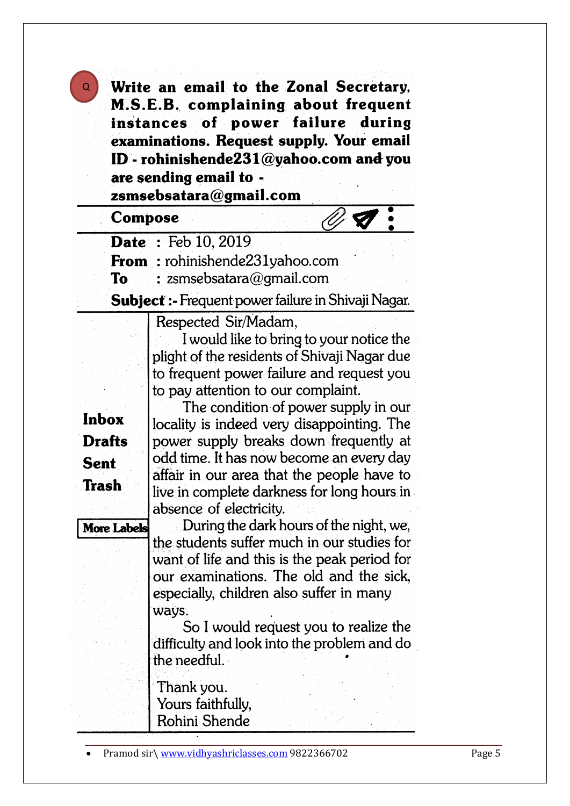Write an email to the Zonal Secretary, M.S.E.B. complaining about frequent instances of power failure during examinations. Request supply. Your email ID - rohinishende231@yahoo.com and you are sending email to zsmsebsatara@gmail.com

### Compose

Q

Date: Feb 10, 2019

From: rohinishende231yahoo.com

: zsmsebsatara@gmail.com **To** 

Subject :- Frequent power failure in Shivaji Nagar.

Respected Sir/Madam,

I would like to bring to your notice the plight of the residents of Shivaji Nagar due to frequent power failure and request you to pay attention to our complaint.

**Inbox Drafts Sent Trash** 

**More Labels** 

The condition of power supply in our locality is indeed very disappointing. The power supply breaks down frequently at odd time. It has now become an every day affair in our area that the people have to live in complete darkness for long hours in absence of electricity.

During the dark hours of the night, we, the students suffer much in our studies for want of life and this is the peak period for our examinations. The old and the sick, especially, children also suffer in many ways.

So I would request you to realize the difficulty and look into the problem and do the needful.

Thank you. Yours faithfully, Rohini Shende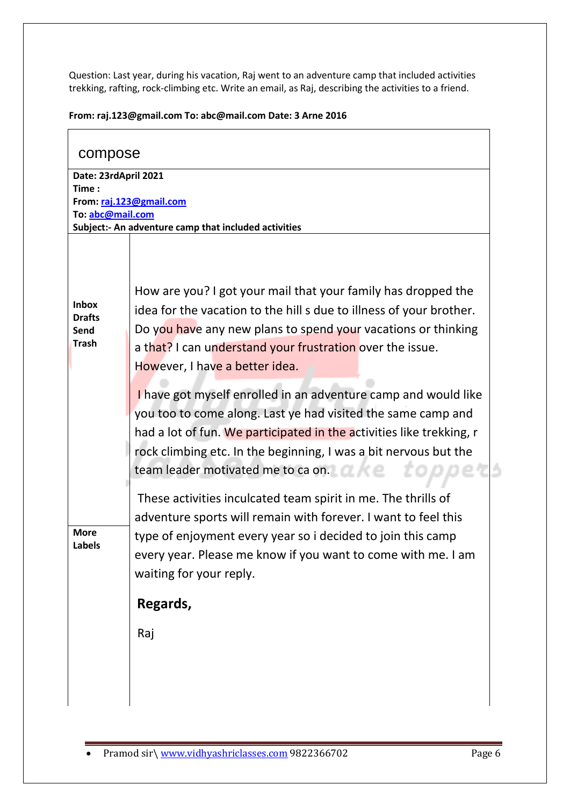Question: Last year, during his vacation, Raj went to an adventure camp that included activities trekking, rafting, rock-climbing etc. Write an email, as Raj, describing the activities to a friend.

| From: raj.123@gmail.com To: abc@mail.com Date: 3 Arne 2016 |  |  |
|------------------------------------------------------------|--|--|
|                                                            |  |  |

| compose               |                                                                      |  |
|-----------------------|----------------------------------------------------------------------|--|
| Date: 23rdApril 2021  |                                                                      |  |
| Time:                 | From: raj.123@gmail.com                                              |  |
| To: abc@mail.com      |                                                                      |  |
|                       | Subject:- An adventure camp that included activities                 |  |
|                       |                                                                      |  |
|                       | How are you? I got your mail that your family has dropped the        |  |
| <b>Inbox</b>          | idea for the vacation to the hill s due to illness of your brother.  |  |
| <b>Drafts</b><br>Send | Do you have any new plans to spend your vacations or thinking        |  |
| <b>Trash</b>          | a that? I can understand your frustration over the issue.            |  |
|                       | However, I have a better idea.                                       |  |
|                       |                                                                      |  |
|                       | I have got myself enrolled in an adventure camp and would like       |  |
|                       | you too to come along. Last ye had visited the same camp and         |  |
|                       | had a lot of fun. We participated in the activities like trekking, r |  |
|                       | rock climbing etc. In the beginning, I was a bit nervous but the     |  |
|                       | team leader motivated me to ca on.                                   |  |
|                       | These activities inculcated team spirit in me. The thrills of        |  |
|                       | adventure sports will remain with forever. I want to feel this       |  |
| <b>More</b>           | type of enjoyment every year so i decided to join this camp          |  |
| Labels                | every year. Please me know if you want to come with me. I am         |  |
|                       | waiting for your reply.                                              |  |
|                       |                                                                      |  |
|                       | Regards,                                                             |  |
|                       | Raj                                                                  |  |
|                       |                                                                      |  |
|                       |                                                                      |  |
|                       |                                                                      |  |
|                       |                                                                      |  |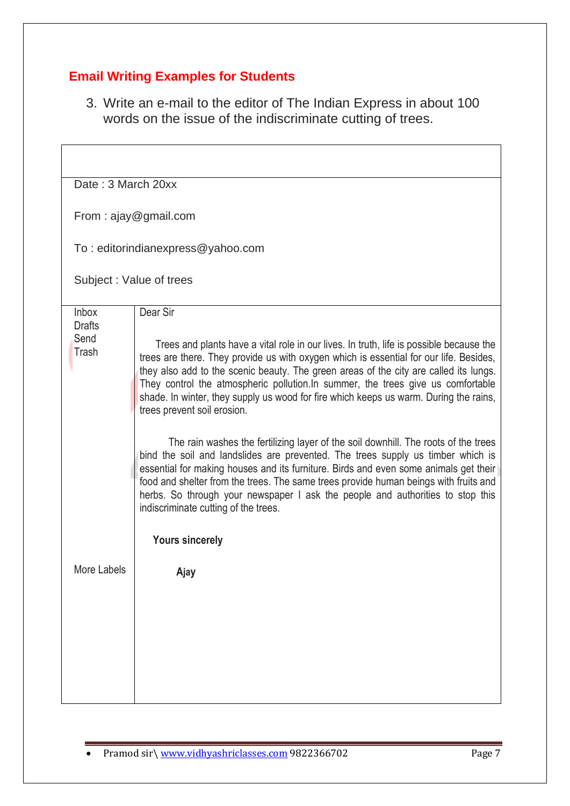### **Email Writing Examples for Students**

3. Write an e-mail to the editor of The Indian Express in about 100 words on the issue of the indiscriminate cutting of trees.

| Date: 3 March 20xx            |                                                                                                                                                                                                                                                                                                                                                                                                                                                                                        |
|-------------------------------|----------------------------------------------------------------------------------------------------------------------------------------------------------------------------------------------------------------------------------------------------------------------------------------------------------------------------------------------------------------------------------------------------------------------------------------------------------------------------------------|
|                               | From: ajay@gmail.com                                                                                                                                                                                                                                                                                                                                                                                                                                                                   |
|                               | To: editorindianexpress@yahoo.com                                                                                                                                                                                                                                                                                                                                                                                                                                                      |
|                               | Subject: Value of trees                                                                                                                                                                                                                                                                                                                                                                                                                                                                |
| <b>Inbox</b><br><b>Drafts</b> | Dear Sir                                                                                                                                                                                                                                                                                                                                                                                                                                                                               |
| Send<br>Trash                 | Trees and plants have a vital role in our lives. In truth, life is possible because the<br>trees are there. They provide us with oxygen which is essential for our life. Besides,<br>they also add to the scenic beauty. The green areas of the city are called its lungs.<br>They control the atmospheric pollution. In summer, the trees give us comfortable<br>shade. In winter, they supply us wood for fire which keeps us warm. During the rains,<br>trees prevent soil erosion. |
|                               | The rain washes the fertilizing layer of the soil downhill. The roots of the trees<br>bind the soil and landslides are prevented. The trees supply us timber which is<br>essential for making houses and its furniture. Birds and even some animals get their<br>food and shelter from the trees. The same trees provide human beings with fruits and<br>herbs. So through your newspaper I ask the people and authorities to stop this<br>indiscriminate cutting of the trees.        |
|                               | <b>Yours sincerely</b>                                                                                                                                                                                                                                                                                                                                                                                                                                                                 |
| More Labels                   | Ajay                                                                                                                                                                                                                                                                                                                                                                                                                                                                                   |
|                               |                                                                                                                                                                                                                                                                                                                                                                                                                                                                                        |
|                               |                                                                                                                                                                                                                                                                                                                                                                                                                                                                                        |
|                               |                                                                                                                                                                                                                                                                                                                                                                                                                                                                                        |
|                               |                                                                                                                                                                                                                                                                                                                                                                                                                                                                                        |

• Pramod sir\ [www.vidhyashriclasses.com](http://www.vidhyashriclasses.com/) 9822366702